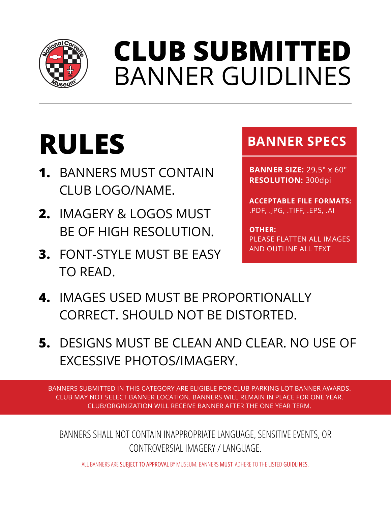

## **CLUB SUBMITTED** BANNER GUIDLINES

## **RULES**

- **1.** BANNERS MUST CONTAIN CLUB LOGO/NAME.
- **2.** IMAGERY & LOGOS MUST BE OF HIGH RESOLUTION.
- **3.** FONT-STYLE MUST BE EASY TO READ.

#### **BANNER SPECS**

**BANNER SIZE:** 29.5" x 60" **RESOLUTION:** 300dpi

**ACCEPTABLE FILE FORMATS:** .PDF, .JPG, .TIFF, .EPS, .AI

**OTHER:** PLEASE FLATTEN ALL IMAGES AND OUTLINE ALL TEXT

- **4.** IMAGES USED MUST BE PROPORTIONALLY CORRECT. SHOULD NOT BE DISTORTED.
- **5.** DESIGNS MUST BE CLEAN AND CLEAR. NO USE OF EXCESSIVE PHOTOS/IMAGERY.

BANNERS SUBMITTED IN THIS CATEGORY ARE ELIGIBLE FOR CLUB PARKING LOT BANNER AWARDS. CLUB MAY NOT SELECT BANNER LOCATION. BANNERS WILL REMAIN IN PLACE FOR ONE YEAR. CLUB/ORGINIZATION WILL RECEIVE BANNER AFTER THE ONE YEAR TERM.

BANNERS SHALL NOT CONTAIN INAPPROPRIATE LANGUAGE, SENSITIVE EVENTS, OR CONTROVERSIAL IMAGERY / LANGUAGE.

ALL BANNERS ARE SUBJECT TO APPROVAL BY MUSEUM. BANNERS MUST ADHERE TO THE LISTED GUIDLINES.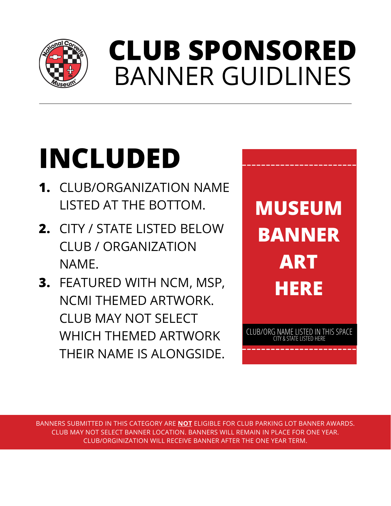

## **CLUB SPONSORED** BANNER GUIDLINES

# **INCLUDED**

- **1.** CLUB/ORGANIZATION NAME LISTED AT THE BOTTOM.
- **2.** CITY / STATE LISTED BELOW CLUB / ORGANIZATION NAME.
- **3.** FEATURED WITH NCM, MSP, NCMI THEMED ARTWORK. CLUB MAY NOT SELECT WHICH THEMED ARTWORK THEIR NAME IS ALONGSIDE.

**MUSEUM BANNER ART HERE**

CLUB/ORG NAME LISTED IN THIS SPACE CITY & STATE LISTED HERE

BANNERS SUBMITTED IN THIS CATEGORY ARE **NOT** ELIGIBLE FOR CLUB PARKING LOT BANNER AWARDS. CLUB MAY NOT SELECT BANNER LOCATION. BANNERS WILL REMAIN IN PLACE FOR ONE YEAR. CLUB/ORGINIZATION WILL RECEIVE BANNER AFTER THE ONE YEAR TERM.